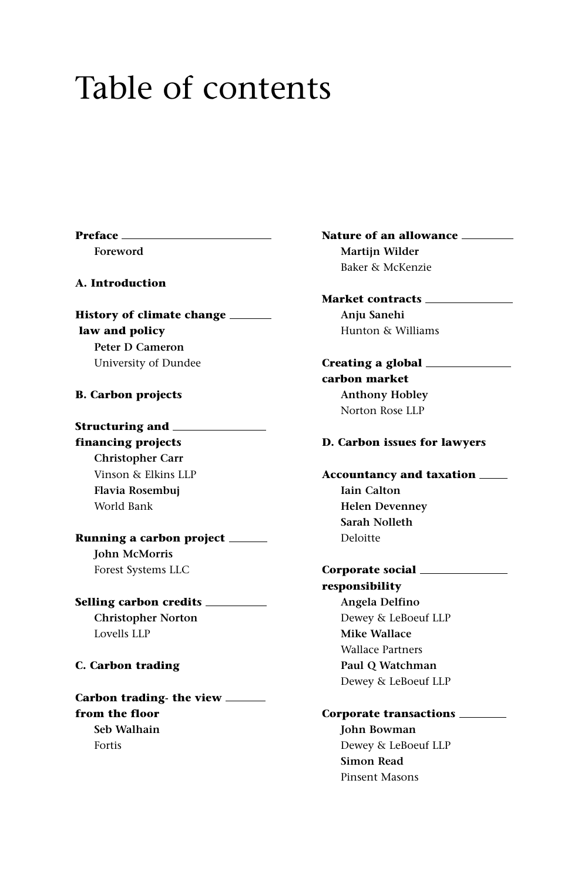# Table of contents

**Preface** 

**Foreword**

**A. Introduction**

**History of climate change law and policy Peter D Cameron** University of Dundee

# **B. Carbon projects**

**Structuring and financing projects Christopher Carr** Vinson & Elkins LLP **Flavia Rosembuj** World Bank

**Running a carbon project John McMorris** Forest Systems LLC

**Selling carbon credits Christopher Norton** Lovells LLP

### **C. Carbon trading**

**Carbon trading- the view from the floor Seb Walhain** Fortis

**Nature of an allowance Martijn Wilder** Baker & McKenzie

**Market contracts Anju Sanehi** Hunton & Williams

**Creating a global carbon market Anthony Hobley** Norton Rose LLP

# **D. Carbon issues for lawyers**

**Accountancy and taxation Iain Calton Helen Devenney Sarah Nolleth** Deloitte

**Corporate social responsibility Angela Delfino** Dewey & LeBoeuf LLP **Mike Wallace** Wallace Partners **Paul Q Watchman** Dewey & LeBoeuf LLP

#### **Corporate transactions**

**John Bowman** Dewey & LeBoeuf LLP **Simon Read** Pinsent Masons